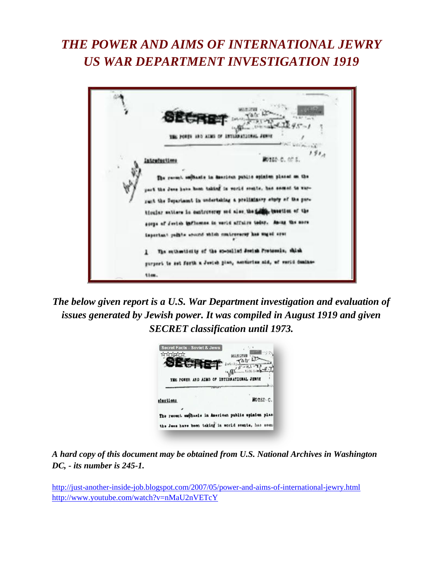# *THE POWER AND AIMS OF INTERNATIONAL JEWRY US WAR DEPARTMENT INVESTIGATION 1919*



*The below given report is a U.S. War Department investigation and evaluation of issues generated by Jewish power. It was compiled in August 1919 and given SECRET classification until 1973.*



*A hard copy of this document may be obtained from U.S. National Archives in Washington DC, - its number is 245-1.* 

<http://just-another-inside-job.blogspot.com/2007/05/power-and-aims-of-international-jewry.html> <http://www.youtube.com/watch?v=nMaU2nVETcY>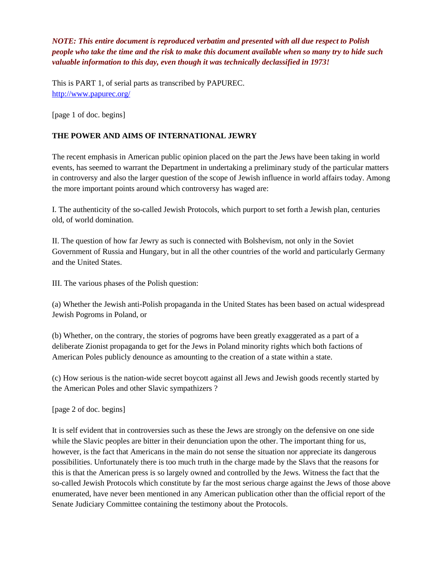*NOTE: This entire document is reproduced verbatim and presented with all due respect to Polish people who take the time and the risk to make this document available when so many try to hide such valuable information to this day, even though it was technically declassified in 1973!*

This is PART 1, of serial parts as transcribed by PAPUREC. <http://www.papurec.org/>

[page 1 of doc. begins]

## **THE POWER AND AIMS OF INTERNATIONAL JEWRY**

The recent emphasis in American public opinion placed on the part the Jews have been taking in world events, has seemed to warrant the Department in undertaking a preliminary study of the particular matters in controversy and also the larger question of the scope of Jewish influence in world affairs today. Among the more important points around which controversy has waged are:

I. The authenticity of the so-called Jewish Protocols, which purport to set forth a Jewish plan, centuries old, of world domination.

II. The question of how far Jewry as such is connected with Bolshevism, not only in the Soviet Government of Russia and Hungary, but in all the other countries of the world and particularly Germany and the United States.

III. The various phases of the Polish question:

(a) Whether the Jewish anti-Polish propaganda in the United States has been based on actual widespread Jewish Pogroms in Poland, or

(b) Whether, on the contrary, the stories of pogroms have been greatly exaggerated as a part of a deliberate Zionist propaganda to get for the Jews in Poland minority rights which both factions of American Poles publicly denounce as amounting to the creation of a state within a state.

(c) How serious is the nation-wide secret boycott against all Jews and Jewish goods recently started by the American Poles and other Slavic sympathizers ?

[page 2 of doc. begins]

It is self evident that in controversies such as these the Jews are strongly on the defensive on one side while the Slavic peoples are bitter in their denunciation upon the other. The important thing for us, however, is the fact that Americans in the main do not sense the situation nor appreciate its dangerous possibilities. Unfortunately there is too much truth in the charge made by the Slavs that the reasons for this is that the American press is so largely owned and controlled by the Jews. Witness the fact that the so-called Jewish Protocols which constitute by far the most serious charge against the Jews of those above enumerated, have never been mentioned in any American publication other than the official report of the Senate Judiciary Committee containing the testimony about the Protocols.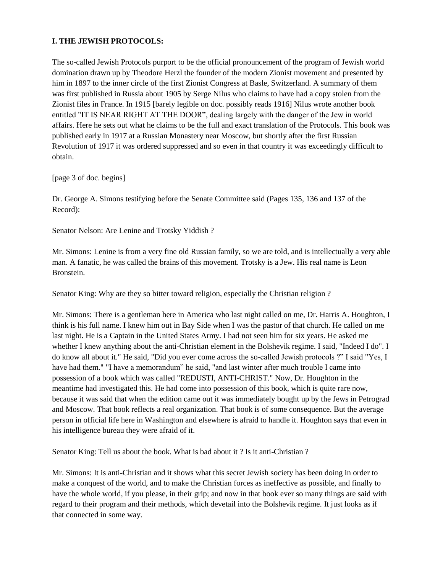### **I. THE JEWISH PROTOCOLS:**

The so-called Jewish Protocols purport to be the official pronouncement of the program of Jewish world domination drawn up by Theodore Herzl the founder of the modern Zionist movement and presented by him in 1897 to the inner circle of the first Zionist Congress at Basle, Switzerland. A summary of them was first published in Russia about 1905 by Serge Nilus who claims to have had a copy stolen from the Zionist files in France. In 1915 [barely legible on doc. possibly reads 1916] Nilus wrote another book entitled "IT IS NEAR RIGHT AT THE DOOR", dealing largely with the danger of the Jew in world affairs. Here he sets out what he claims to be the full and exact translation of the Protocols. This book was published early in 1917 at a Russian Monastery near Moscow, but shortly after the first Russian Revolution of 1917 it was ordered suppressed and so even in that country it was exceedingly difficult to obtain.

[page 3 of doc. begins]

Dr. George A. Simons testifying before the Senate Committee said (Pages 135, 136 and 137 of the Record):

Senator Nelson: Are Lenine and Trotsky Yiddish ?

Mr. Simons: Lenine is from a very fine old Russian family, so we are told, and is intellectually a very able man. A fanatic, he was called the brains of this movement. Trotsky is a Jew. His real name is Leon **Bronstein** 

Senator King: Why are they so bitter toward religion, especially the Christian religion ?

Mr. Simons: There is a gentleman here in America who last night called on me, Dr. Harris A. Houghton, I think is his full name. I knew him out in Bay Side when I was the pastor of that church. He called on me last night. He is a Captain in the United States Army. I had not seen him for six years. He asked me whether I knew anything about the anti-Christian element in the Bolshevik regime. I said, "Indeed I do". I do know all about it." He said, "Did you ever come across the so-called Jewish protocols ?" I said "Yes, I have had them." "I have a memorandum" he said, "and last winter after much trouble I came into possession of a book which was called "REDUSTI, ANTI-CHRIST." Now, Dr. Houghton in the meantime had investigated this. He had come into possession of this book, which is quite rare now, because it was said that when the edition came out it was immediately bought up by the Jews in Petrograd and Moscow. That book reflects a real organization. That book is of some consequence. But the average person in official life here in Washington and elsewhere is afraid to handle it. Houghton says that even in his intelligence bureau they were afraid of it.

Senator King: Tell us about the book. What is bad about it ? Is it anti-Christian ?

Mr. Simons: It is anti-Christian and it shows what this secret Jewish society has been doing in order to make a conquest of the world, and to make the Christian forces as ineffective as possible, and finally to have the whole world, if you please, in their grip; and now in that book ever so many things are said with regard to their program and their methods, which devetail into the Bolshevik regime. It just looks as if that connected in some way.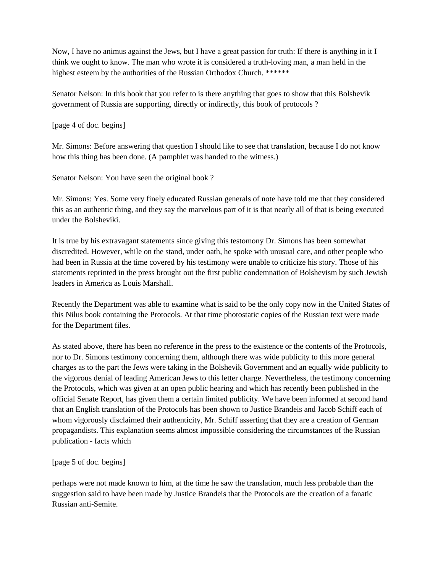Now, I have no animus against the Jews, but I have a great passion for truth: If there is anything in it I think we ought to know. The man who wrote it is considered a truth-loving man, a man held in the highest esteem by the authorities of the Russian Orthodox Church. \*\*\*\*\*\*

Senator Nelson: In this book that you refer to is there anything that goes to show that this Bolshevik government of Russia are supporting, directly or indirectly, this book of protocols ?

[page 4 of doc. begins]

Mr. Simons: Before answering that question I should like to see that translation, because I do not know how this thing has been done. (A pamphlet was handed to the witness.)

Senator Nelson: You have seen the original book ?

Mr. Simons: Yes. Some very finely educated Russian generals of note have told me that they considered this as an authentic thing, and they say the marvelous part of it is that nearly all of that is being executed under the Bolsheviki.

It is true by his extravagant statements since giving this testomony Dr. Simons has been somewhat discredited. However, while on the stand, under oath, he spoke with unusual care, and other people who had been in Russia at the time covered by his testimony were unable to criticize his story. Those of his statements reprinted in the press brought out the first public condemnation of Bolshevism by such Jewish leaders in America as Louis Marshall.

Recently the Department was able to examine what is said to be the only copy now in the United States of this Nilus book containing the Protocols. At that time photostatic copies of the Russian text were made for the Department files.

As stated above, there has been no reference in the press to the existence or the contents of the Protocols, nor to Dr. Simons testimony concerning them, although there was wide publicity to this more general charges as to the part the Jews were taking in the Bolshevik Government and an equally wide publicity to the vigorous denial of leading American Jews to this letter charge. Nevertheless, the testimony concerning the Protocols, which was given at an open public hearing and which has recently been published in the official Senate Report, has given them a certain limited publicity. We have been informed at second hand that an English translation of the Protocols has been shown to Justice Brandeis and Jacob Schiff each of whom vigorously disclaimed their authenticity, Mr. Schiff asserting that they are a creation of German propagandists. This explanation seems almost impossible considering the circumstances of the Russian publication - facts which

[page 5 of doc. begins]

perhaps were not made known to him, at the time he saw the translation, much less probable than the suggestion said to have been made by Justice Brandeis that the Protocols are the creation of a fanatic Russian anti-Semite.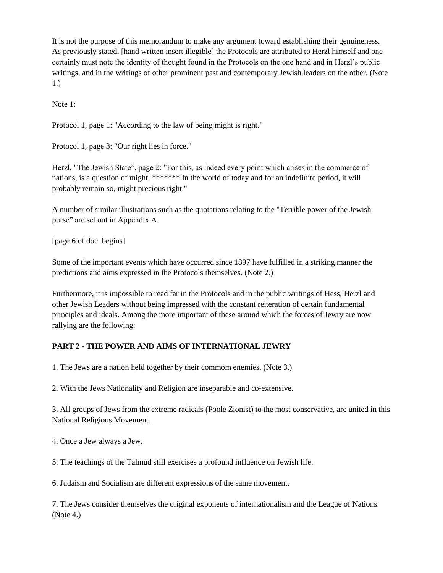It is not the purpose of this memorandum to make any argument toward establishing their genuineness. As previously stated, [hand written insert illegible] the Protocols are attributed to Herzl himself and one certainly must note the identity of thought found in the Protocols on the one hand and in Herzl's public writings, and in the writings of other prominent past and contemporary Jewish leaders on the other. (Note 1.)

Note 1:

Protocol 1, page 1: "According to the law of being might is right."

Protocol 1, page 3: "Our right lies in force."

Herzl, "The Jewish State", page 2: "For this, as indeed every point which arises in the commerce of nations, is a question of might. \*\*\*\*\*\*\* In the world of today and for an indefinite period, it will probably remain so, might precious right."

A number of similar illustrations such as the quotations relating to the "Terrible power of the Jewish purse" are set out in Appendix A.

[page 6 of doc. begins]

Some of the important events which have occurred since 1897 have fulfilled in a striking manner the predictions and aims expressed in the Protocols themselves. (Note 2.)

Furthermore, it is impossible to read far in the Protocols and in the public writings of Hess, Herzl and other Jewish Leaders without being impressed with the constant reiteration of certain fundamental principles and ideals. Among the more important of these around which the forces of Jewry are now rallying are the following:

# **PART 2 - THE POWER AND AIMS OF INTERNATIONAL JEWRY**

1. The Jews are a nation held together by their commom enemies. (Note 3.)

2. With the Jews Nationality and Religion are inseparable and co-extensive.

3. All groups of Jews from the extreme radicals (Poole Zionist) to the most conservative, are united in this National Religious Movement.

4. Once a Jew always a Jew.

5. The teachings of the Talmud still exercises a profound influence on Jewish life.

6. Judaism and Socialism are different expressions of the same movement.

7. The Jews consider themselves the original exponents of internationalism and the League of Nations. (Note 4.)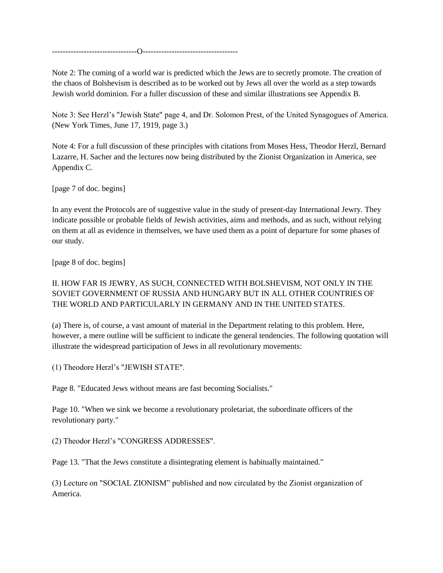--------------------------------O------------------------------------

Note 2: The coming of a world war is predicted which the Jews are to secretly promote. The creation of the chaos of Bolshevism is described as to be worked out by Jews all over the world as a step towards Jewish world dominion. For a fuller discussion of these and similar illustrations see Appendix B.

Note 3: See Herzl's "Jewish State" page 4, and Dr. Solomon Prest, of the United Synagogues of America. (New York Times, June 17, 1919, page 3.)

Note 4: For a full discussion of these principles with citations from Moses Hess, Theodor Herzl, Bernard Lazarre, H. Sacher and the lectures now being distributed by the Zionist Organization in America, see Appendix C.

[page 7 of doc. begins]

In any event the Protocols are of suggestive value in the study of present-day International Jewry. They indicate possible or probable fields of Jewish activities, aims and methods, and as such, without relying on them at all as evidence in themselves, we have used them as a point of departure for some phases of our study.

[page 8 of doc. begins]

## II. HOW FAR IS JEWRY, AS SUCH, CONNECTED WITH BOLSHEVISM, NOT ONLY IN THE SOVIET GOVERNMENT OF RUSSIA AND HUNGARY BUT IN ALL OTHER COUNTRIES OF THE WORLD AND PARTICULARLY IN GERMANY AND IN THE UNITED STATES.

(a) There is, of course, a vast amount of material in the Department relating to this problem. Here, however, a mere outline will be sufficient to indicate the general tendencies. The following quotation will illustrate the widespread participation of Jews in all revolutionary movements:

(1) Theodore Herzl's "JEWISH STATE".

Page 8. "Educated Jews without means are fast becoming Socialists."

Page 10. "When we sink we become a revolutionary proletariat, the subordinate officers of the revolutionary party."

(2) Theodor Herzl's "CONGRESS ADDRESSES".

Page 13. "That the Jews constitute a disintegrating element is habitually maintained."

(3) Lecture on "SOCIAL ZIONISM" published and now circulated by the Zionist organization of America.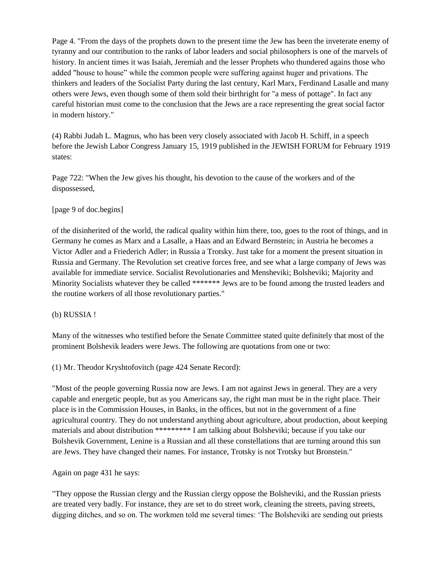Page 4. "From the days of the prophets down to the present time the Jew has been the inveterate enemy of tyranny and our contribution to the ranks of labor leaders and social philosophers is one of the marvels of history. In ancient times it was Isaiah, Jeremiah and the lesser Prophets who thundered agains those who added "house to house" while the common people were suffering against huger and privations. The thinkers and leaders of the Socialist Party during the last century, Karl Marx, Ferdinand Lasalle and many others were Jews, even though some of them sold their birthright for "a mess of pottage". In fact any careful historian must come to the conclusion that the Jews are a race representing the great social factor in modern history."

(4) Rabbi Judah L. Magnus, who has been very closely associated with Jacob H. Schiff, in a speech before the Jewish Labor Congress January 15, 1919 published in the JEWISH FORUM for February 1919 states:

Page 722: "When the Jew gives his thought, his devotion to the cause of the workers and of the dispossessed,

#### [page 9 of doc.begins]

of the disinherited of the world, the radical quality within him there, too, goes to the root of things, and in Germany he comes as Marx and a Lasalle, a Haas and an Edward Bernstein; in Austria he becomes a Victor Adler and a Friederich Adler; in Russia a Trotsky. Just take for a moment the present situation in Russia and Germany. The Revolution set creative forces free, and see what a large company of Jews was available for immediate service. Socialist Revolutionaries and Mensheviki; Bolsheviki; Majority and Minority Socialists whatever they be called \*\*\*\*\*\*\* Jews are to be found among the trusted leaders and the routine workers of all those revolutionary parties."

#### (b) RUSSIA !

Many of the witnesses who testified before the Senate Committee stated quite definitely that most of the prominent Bolshevik leaders were Jews. The following are quotations from one or two:

(1) Mr. Theodor Kryshtofovitch (page 424 Senate Record):

"Most of the people governing Russia now are Jews. I am not against Jews in general. They are a very capable and energetic people, but as you Americans say, the right man must be in the right place. Their place is in the Commission Houses, in Banks, in the offices, but not in the government of a fine agricultural country. They do not understand anything about agriculture, about production, about keeping materials and about distribution \*\*\*\*\*\*\*\*\* I am talking about Bolsheviki; because if you take our Bolshevik Government, Lenine is a Russian and all these constellations that are turning around this sun are Jews. They have changed their names. For instance, Trotsky is not Trotsky but Bronstein."

Again on page 431 he says:

"They oppose the Russian clergy and the Russian clergy oppose the Bolsheviki, and the Russian priests are treated very badly. For instance, they are set to do street work, cleaning the streets, paving streets, digging ditches, and so on. The workmen told me several times: 'The Bolsheviki are sending out priests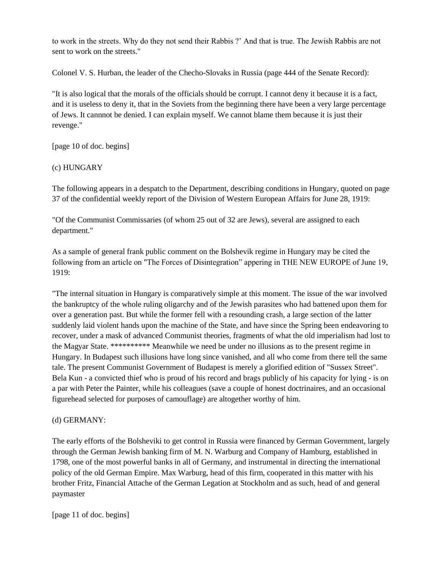to work in the streets. Why do they not send their Rabbis ?' And that is true. The Jewish Rabbis are not sent to work on the streets."

Colonel V. S. Hurban, the leader of the Checho-Slovaks in Russia (page 444 of the Senate Record):

"It is also logical that the morals of the officials should be corrupt. I cannot deny it because it is a fact, and it is useless to deny it, that in the Soviets from the beginning there have been a very large percentage of Jews. It cannnot be denied. I can explain myself. We cannot blame them because it is just their revenge."

[page 10 of doc. begins]

## (c) HUNGARY

The following appears in a despatch to the Department, describing conditions in Hungary, quoted on page 37 of the confidential weekly report of the Division of Western European Affairs for June 28, 1919:

"Of the Communist Commissaries (of whom 25 out of 32 are Jews), several are assigned to each department."

As a sample of general frank public comment on the Bolshevik regime in Hungary may be cited the following from an article on "The Forces of Disintegration" appering in THE NEW EUROPE of June 19, 1919:

"The internal situation in Hungary is comparatively simple at this moment. The issue of the war involved the bankruptcy of the whole ruling oligarchy and of the Jewish parasites who had battened upon them for over a generation past. But while the former fell with a resounding crash, a large section of the latter suddenly laid violent hands upon the machine of the State, and have since the Spring been endeavoring to recover, under a mask of advanced Communist theories, fragments of what the old imperialism had lost to the Magyar State. \*\*\*\*\*\*\*\*\*\* Meanwhile we need be under no illusions as to the present regime in Hungary. In Budapest such illusions have long since vanished, and all who come from there tell the same tale. The present Communist Government of Budapest is merely a glorified edition of "Sussex Street". Bela Kun - a convicted thief who is proud of his record and brags publicly of his capacity for lying - is on a par with Peter the Painter, while his colleagues (save a couple of honest doctrinaires, and an occasional figurehead selected for purposes of camouflage) are altogether worthy of him.

## (d) GERMANY:

The early efforts of the Bolsheviki to get control in Russia were financed by German Government, largely through the German Jewish banking firm of M. N. Warburg and Company of Hamburg, established in 1798, one of the most powerful banks in all of Germany, and instrumental in directing the international policy of the old German Empire. Max Warburg, head of this firm, cooperated in this matter with his brother Fritz, Financial Attache of the German Legation at Stockholm and as such, head of and general paymaster

[page 11 of doc. begins]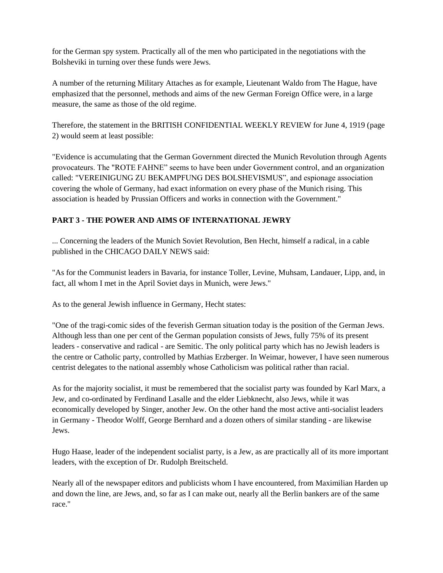for the German spy system. Practically all of the men who participated in the negotiations with the Bolsheviki in turning over these funds were Jews.

A number of the returning Military Attaches as for example, Lieutenant Waldo from The Hague, have emphasized that the personnel, methods and aims of the new German Foreign Office were, in a large measure, the same as those of the old regime.

Therefore, the statement in the BRITISH CONFIDENTIAL WEEKLY REVIEW for June 4, 1919 (page 2) would seem at least possible:

"Evidence is accumulating that the German Government directed the Munich Revolution through Agents provocateurs. The "ROTE FAHNE" seems to have been under Government control, and an organization called: "VEREINIGUNG ZU BEKAMPFUNG DES BOLSHEVISMUS", and espionage association covering the whole of Germany, had exact information on every phase of the Munich rising. This association is headed by Prussian Officers and works in connection with the Government."

# **PART 3 - THE POWER AND AIMS OF INTERNATIONAL JEWRY**

... Concerning the leaders of the Munich Soviet Revolution, Ben Hecht, himself a radical, in a cable published in the CHICAGO DAILY NEWS said:

"As for the Communist leaders in Bavaria, for instance Toller, Levine, Muhsam, Landauer, Lipp, and, in fact, all whom I met in the April Soviet days in Munich, were Jews."

As to the general Jewish influence in Germany, Hecht states:

"One of the tragi-comic sides of the feverish German situation today is the position of the German Jews. Although less than one per cent of the German population consists of Jews, fully 75% of its present leaders - conservative and radical - are Semitic. The only political party which has no Jewish leaders is the centre or Catholic party, controlled by Mathias Erzberger. In Weimar, however, I have seen numerous centrist delegates to the national assembly whose Catholicism was political rather than racial.

As for the majority socialist, it must be remembered that the socialist party was founded by Karl Marx, a Jew, and co-ordinated by Ferdinand Lasalle and the elder Liebknecht, also Jews, while it was economically developed by Singer, another Jew. On the other hand the most active anti-socialist leaders in Germany - Theodor Wolff, George Bernhard and a dozen others of similar standing - are likewise Jews.

Hugo Haase, leader of the independent socialist party, is a Jew, as are practically all of its more important leaders, with the exception of Dr. Rudolph Breitscheld.

Nearly all of the newspaper editors and publicists whom I have encountered, from Maximilian Harden up and down the line, are Jews, and, so far as I can make out, nearly all the Berlin bankers are of the same race."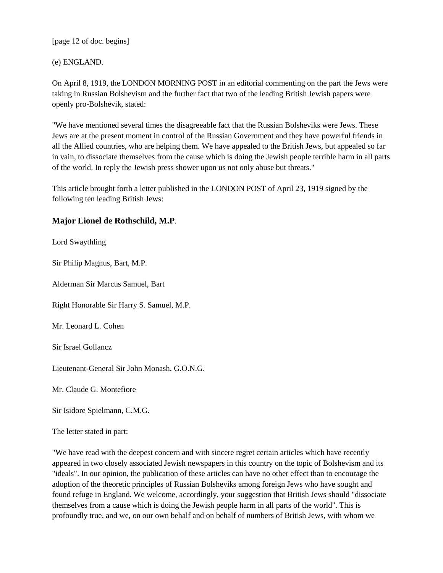[page 12 of doc. begins]

(e) ENGLAND.

On April 8, 1919, the LONDON MORNING POST in an editorial commenting on the part the Jews were taking in Russian Bolshevism and the further fact that two of the leading British Jewish papers were openly pro-Bolshevik, stated:

"We have mentioned several times the disagreeable fact that the Russian Bolsheviks were Jews. These Jews are at the present moment in control of the Russian Government and they have powerful friends in all the Allied countries, who are helping them. We have appealed to the British Jews, but appealed so far in vain, to dissociate themselves from the cause which is doing the Jewish people terrible harm in all parts of the world. In reply the Jewish press shower upon us not only abuse but threats."

This article brought forth a letter published in the LONDON POST of April 23, 1919 signed by the following ten leading British Jews:

## **Major Lionel de Rothschild, M.P**.

Lord Swaythling

Sir Philip Magnus, Bart, M.P.

Alderman Sir Marcus Samuel, Bart

Right Honorable Sir Harry S. Samuel, M.P.

Mr. Leonard L. Cohen

Sir Israel Gollancz

Lieutenant-General Sir John Monash, G.O.N.G.

Mr. Claude G. Montefiore

Sir Isidore Spielmann, C.M.G.

The letter stated in part:

"We have read with the deepest concern and with sincere regret certain articles which have recently appeared in two closely associated Jewish newspapers in this country on the topic of Bolshevism and its "ideals". In our opinion, the publication of these articles can have no other effect than to encourage the adoption of the theoretic principles of Russian Bolsheviks among foreign Jews who have sought and found refuge in England. We welcome, accordingly, your suggestion that British Jews should "dissociate themselves from a cause which is doing the Jewish people harm in all parts of the world". This is profoundly true, and we, on our own behalf and on behalf of numbers of British Jews, with whom we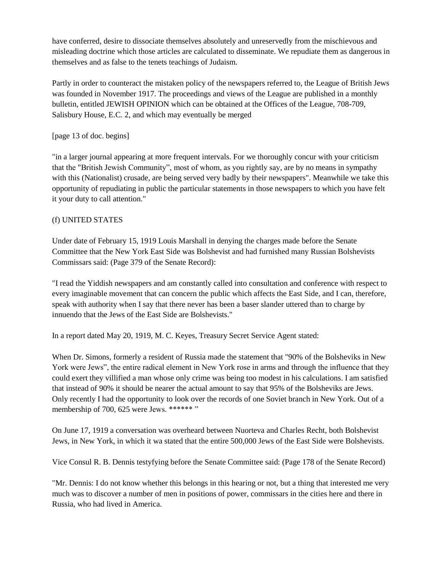have conferred, desire to dissociate themselves absolutely and unreservedly from the mischievous and misleading doctrine which those articles are calculated to disseminate. We repudiate them as dangerous in themselves and as false to the tenets teachings of Judaism.

Partly in order to counteract the mistaken policy of the newspapers referred to, the League of British Jews was founded in November 1917. The proceedings and views of the League are published in a monthly bulletin, entitled JEWISH OPINION which can be obtained at the Offices of the League, 708-709, Salisbury House, E.C. 2, and which may eventually be merged

[page 13 of doc. begins]

"in a larger journal appearing at more frequent intervals. For we thoroughly concur with your criticism that the "British Jewish Community", most of whom, as you rightly say, are by no means in sympathy with this (Nationalist) crusade, are being served very badly by their newspapers". Meanwhile we take this opportunity of repudiating in public the particular statements in those newspapers to which you have felt it your duty to call attention."

## (f) UNITED STATES

Under date of February 15, 1919 Louis Marshall in denying the charges made before the Senate Committee that the New York East Side was Bolshevist and had furnished many Russian Bolshevists Commissars said: (Page 379 of the Senate Record):

"I read the Yiddish newspapers and am constantly called into consultation and conference with respect to every imaginable movement that can concern the public which affects the East Side, and I can, therefore, speak with authority when I say that there never has been a baser slander uttered than to charge by innuendo that the Jews of the East Side are Bolshevists."

In a report dated May 20, 1919, M. C. Keyes, Treasury Secret Service Agent stated:

When Dr. Simons, formerly a resident of Russia made the statement that "90% of the Bolsheviks in New York were Jews", the entire radical element in New York rose in arms and through the influence that they could exert they villified a man whose only crime was being too modest in his calculations. I am satisfied that instead of 90% it should be nearer the actual amount to say that 95% of the Bolsheviks are Jews. Only recently I had the opportunity to look over the records of one Soviet branch in New York. Out of a membership of 700, 625 were Jews. \*\*\*\*\*\* "

On June 17, 1919 a conversation was overheard between Nuorteva and Charles Recht, both Bolshevist Jews, in New York, in which it wa stated that the entire 500,000 Jews of the East Side were Bolshevists.

Vice Consul R. B. Dennis testyfying before the Senate Committee said: (Page 178 of the Senate Record)

"Mr. Dennis: I do not know whether this belongs in this hearing or not, but a thing that interested me very much was to discover a number of men in positions of power, commissars in the cities here and there in Russia, who had lived in America.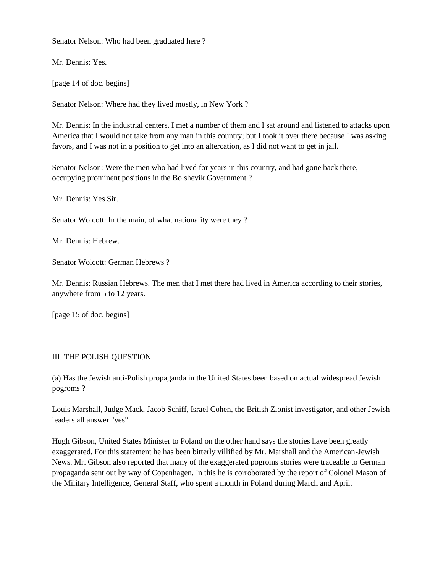Senator Nelson: Who had been graduated here ?

Mr. Dennis: Yes.

[page 14 of doc. begins]

Senator Nelson: Where had they lived mostly, in New York ?

Mr. Dennis: In the industrial centers. I met a number of them and I sat around and listened to attacks upon America that I would not take from any man in this country; but I took it over there because I was asking favors, and I was not in a position to get into an altercation, as I did not want to get in jail.

Senator Nelson: Were the men who had lived for years in this country, and had gone back there, occupying prominent positions in the Bolshevik Government ?

Mr. Dennis: Yes Sir.

Senator Wolcott: In the main, of what nationality were they ?

Mr. Dennis: Hebrew.

Senator Wolcott: German Hebrews ?

Mr. Dennis: Russian Hebrews. The men that I met there had lived in America according to their stories, anywhere from 5 to 12 years.

[page 15 of doc. begins]

#### III. THE POLISH QUESTION

(a) Has the Jewish anti-Polish propaganda in the United States been based on actual widespread Jewish pogroms ?

Louis Marshall, Judge Mack, Jacob Schiff, Israel Cohen, the British Zionist investigator, and other Jewish leaders all answer "yes".

Hugh Gibson, United States Minister to Poland on the other hand says the stories have been greatly exaggerated. For this statement he has been bitterly villified by Mr. Marshall and the American-Jewish News. Mr. Gibson also reported that many of the exaggerated pogroms stories were traceable to German propaganda sent out by way of Copenhagen. In this he is corroborated by the report of Colonel Mason of the Military Intelligence, General Staff, who spent a month in Poland during March and April.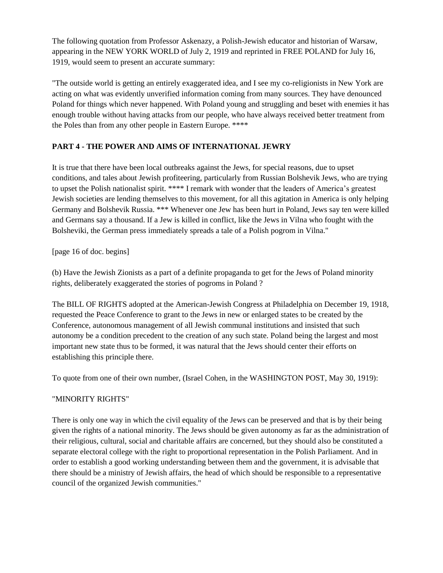The following quotation from Professor Askenazy, a Polish-Jewish educator and historian of Warsaw, appearing in the NEW YORK WORLD of July 2, 1919 and reprinted in FREE POLAND for July 16, 1919, would seem to present an accurate summary:

"The outside world is getting an entirely exaggerated idea, and I see my co-religionists in New York are acting on what was evidently unverified information coming from many sources. They have denounced Poland for things which never happened. With Poland young and struggling and beset with enemies it has enough trouble without having attacks from our people, who have always received better treatment from the Poles than from any other people in Eastern Europe. \*\*\*\*

## **PART 4 - THE POWER AND AIMS OF INTERNATIONAL JEWRY**

It is true that there have been local outbreaks against the Jews, for special reasons, due to upset conditions, and tales about Jewish profiteering, particularly from Russian Bolshevik Jews, who are trying to upset the Polish nationalist spirit. \*\*\*\* I remark with wonder that the leaders of America's greatest Jewish societies are lending themselves to this movement, for all this agitation in America is only helping Germany and Bolshevik Russia. \*\*\* Whenever one Jew has been hurt in Poland, Jews say ten were killed and Germans say a thousand. If a Jew is killed in conflict, like the Jews in Vilna who fought with the Bolsheviki, the German press immediately spreads a tale of a Polish pogrom in Vilna."

[page 16 of doc. begins]

(b) Have the Jewish Zionists as a part of a definite propaganda to get for the Jews of Poland minority rights, deliberately exaggerated the stories of pogroms in Poland ?

The BILL OF RIGHTS adopted at the American-Jewish Congress at Philadelphia on December 19, 1918, requested the Peace Conference to grant to the Jews in new or enlarged states to be created by the Conference, autonomous management of all Jewish communal institutions and insisted that such autonomy be a condition precedent to the creation of any such state. Poland being the largest and most important new state thus to be formed, it was natural that the Jews should center their efforts on establishing this principle there.

To quote from one of their own number, (Israel Cohen, in the WASHINGTON POST, May 30, 1919):

## "MINORITY RIGHTS"

There is only one way in which the civil equality of the Jews can be preserved and that is by their being given the rights of a national minority. The Jews should be given autonomy as far as the administration of their religious, cultural, social and charitable affairs are concerned, but they should also be constituted a separate electoral college with the right to proportional representation in the Polish Parliament. And in order to establish a good working understanding between them and the government, it is advisable that there should be a ministry of Jewish affairs, the head of which should be responsible to a representative council of the organized Jewish communities."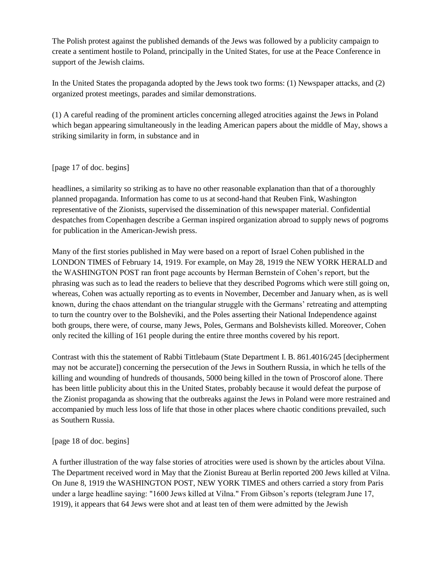The Polish protest against the published demands of the Jews was followed by a publicity campaign to create a sentiment hostile to Poland, principally in the United States, for use at the Peace Conference in support of the Jewish claims.

In the United States the propaganda adopted by the Jews took two forms: (1) Newspaper attacks, and (2) organized protest meetings, parades and similar demonstrations.

(1) A careful reading of the prominent articles concerning alleged atrocities against the Jews in Poland which began appearing simultaneously in the leading American papers about the middle of May, shows a striking similarity in form, in substance and in

## [page 17 of doc. begins]

headlines, a similarity so striking as to have no other reasonable explanation than that of a thoroughly planned propaganda. Information has come to us at second-hand that Reuben Fink, Washington representative of the Zionists, supervised the dissemination of this newspaper material. Confidential despatches from Copenhagen describe a German inspired organization abroad to supply news of pogroms for publication in the American-Jewish press.

Many of the first stories published in May were based on a report of Israel Cohen published in the LONDON TIMES of February 14, 1919. For example, on May 28, 1919 the NEW YORK HERALD and the WASHINGTON POST ran front page accounts by Herman Bernstein of Cohen's report, but the phrasing was such as to lead the readers to believe that they described Pogroms which were still going on, whereas, Cohen was actually reporting as to events in November, December and January when, as is well known, during the chaos attendant on the triangular struggle with the Germans' retreating and attempting to turn the country over to the Bolsheviki, and the Poles asserting their National Independence against both groups, there were, of course, many Jews, Poles, Germans and Bolshevists killed. Moreover, Cohen only recited the killing of 161 people during the entire three months covered by his report.

Contrast with this the statement of Rabbi Tittlebaum (State Department I. B. 861.4016/245 [decipherment may not be accurate]) concerning the persecution of the Jews in Southern Russia, in which he tells of the killing and wounding of hundreds of thousands, 5000 being killed in the town of Proscorof alone. There has been little publicity about this in the United States, probably because it would defeat the purpose of the Zionist propaganda as showing that the outbreaks against the Jews in Poland were more restrained and accompanied by much less loss of life that those in other places where chaotic conditions prevailed, such as Southern Russia.

## [page 18 of doc. begins]

A further illustration of the way false stories of atrocities were used is shown by the articles about Vilna. The Department received word in May that the Zionist Bureau at Berlin reported 200 Jews killed at Vilna. On June 8, 1919 the WASHINGTON POST, NEW YORK TIMES and others carried a story from Paris under a large headline saying: "1600 Jews killed at Vilna." From Gibson's reports (telegram June 17, 1919), it appears that 64 Jews were shot and at least ten of them were admitted by the Jewish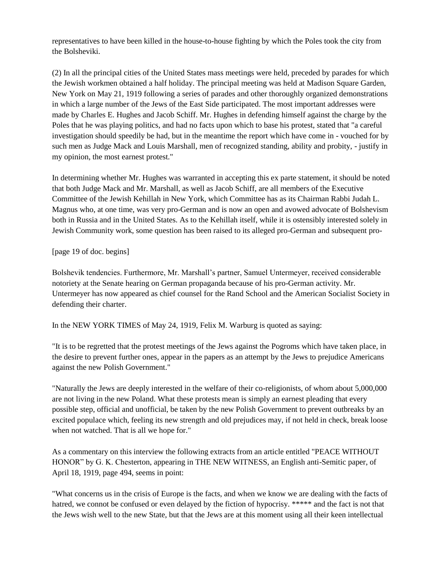representatives to have been killed in the house-to-house fighting by which the Poles took the city from the Bolsheviki.

(2) In all the principal cities of the United States mass meetings were held, preceded by parades for which the Jewish workmen obtained a half holiday. The principal meeting was held at Madison Square Garden, New York on May 21, 1919 following a series of parades and other thoroughly organized demonstrations in which a large number of the Jews of the East Side participated. The most important addresses were made by Charles E. Hughes and Jacob Schiff. Mr. Hughes in defending himself against the charge by the Poles that he was playing politics, and had no facts upon which to base his protest, stated that "a careful investigation should speedily be had, but in the meantime the report which have come in - vouched for by such men as Judge Mack and Louis Marshall, men of recognized standing, ability and probity, - justify in my opinion, the most earnest protest."

In determining whether Mr. Hughes was warranted in accepting this ex parte statement, it should be noted that both Judge Mack and Mr. Marshall, as well as Jacob Schiff, are all members of the Executive Committee of the Jewish Kehillah in New York, which Committee has as its Chairman Rabbi Judah L. Magnus who, at one time, was very pro-German and is now an open and avowed advocate of Bolshevism both in Russia and in the United States. As to the Kehillah itself, while it is ostensibly interested solely in Jewish Community work, some question has been raised to its alleged pro-German and subsequent pro-

#### [page 19 of doc. begins]

Bolshevik tendencies. Furthermore, Mr. Marshall's partner, Samuel Untermeyer, received considerable notoriety at the Senate hearing on German propaganda because of his pro-German activity. Mr. Untermeyer has now appeared as chief counsel for the Rand School and the American Socialist Society in defending their charter.

In the NEW YORK TIMES of May 24, 1919, Felix M. Warburg is quoted as saying:

"It is to be regretted that the protest meetings of the Jews against the Pogroms which have taken place, in the desire to prevent further ones, appear in the papers as an attempt by the Jews to prejudice Americans against the new Polish Government."

"Naturally the Jews are deeply interested in the welfare of their co-religionists, of whom about 5,000,000 are not living in the new Poland. What these protests mean is simply an earnest pleading that every possible step, official and unofficial, be taken by the new Polish Government to prevent outbreaks by an excited populace which, feeling its new strength and old prejudices may, if not held in check, break loose when not watched. That is all we hope for."

As a commentary on this interview the following extracts from an article entitled "PEACE WITHOUT HONOR" by G. K. Chesterton, appearing in THE NEW WITNESS, an English anti-Semitic paper, of April 18, 1919, page 494, seems in point:

"What concerns us in the crisis of Europe is the facts, and when we know we are dealing with the facts of hatred, we connot be confused or even delayed by the fiction of hypocrisy. \*\*\*\*\* and the fact is not that the Jews wish well to the new State, but that the Jews are at this moment using all their keen intellectual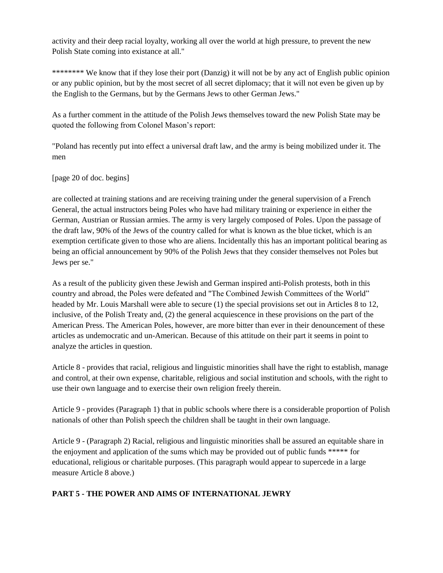activity and their deep racial loyalty, working all over the world at high pressure, to prevent the new Polish State coming into existance at all."

\*\*\*\*\*\*\*\* We know that if they lose their port (Danzig) it will not be by any act of English public opinion or any public opinion, but by the most secret of all secret diplomacy; that it will not even be given up by the English to the Germans, but by the Germans Jews to other German Jews."

As a further comment in the attitude of the Polish Jews themselves toward the new Polish State may be quoted the following from Colonel Mason's report:

"Poland has recently put into effect a universal draft law, and the army is being mobilized under it. The men

#### [page 20 of doc. begins]

are collected at training stations and are receiving training under the general supervision of a French General, the actual instructors being Poles who have had military training or experience in either the German, Austrian or Russian armies. The army is very largely composed of Poles. Upon the passage of the draft law, 90% of the Jews of the country called for what is known as the blue ticket, which is an exemption certificate given to those who are aliens. Incidentally this has an important political bearing as being an official announcement by 90% of the Polish Jews that they consider themselves not Poles but Jews per se."

As a result of the publicity given these Jewish and German inspired anti-Polish protests, both in this country and abroad, the Poles were defeated and "The Combined Jewish Committees of the World" headed by Mr. Louis Marshall were able to secure (1) the special provisions set out in Articles 8 to 12, inclusive, of the Polish Treaty and, (2) the general acquiescence in these provisions on the part of the American Press. The American Poles, however, are more bitter than ever in their denouncement of these articles as undemocratic and un-American. Because of this attitude on their part it seems in point to analyze the articles in question.

Article 8 - provides that racial, religious and linguistic minorities shall have the right to establish, manage and control, at their own expense, charitable, religious and social institution and schools, with the right to use their own language and to exercise their own religion freely therein.

Article 9 - provides (Paragraph 1) that in public schools where there is a considerable proportion of Polish nationals of other than Polish speech the children shall be taught in their own language.

Article 9 - (Paragraph 2) Racial, religious and linguistic minorities shall be assured an equitable share in the enjoyment and application of the sums which may be provided out of public funds \*\*\*\*\* for educational, religious or charitable purposes. (This paragraph would appear to supercede in a large measure Article 8 above.)

## **PART 5 - THE POWER AND AIMS OF INTERNATIONAL JEWRY**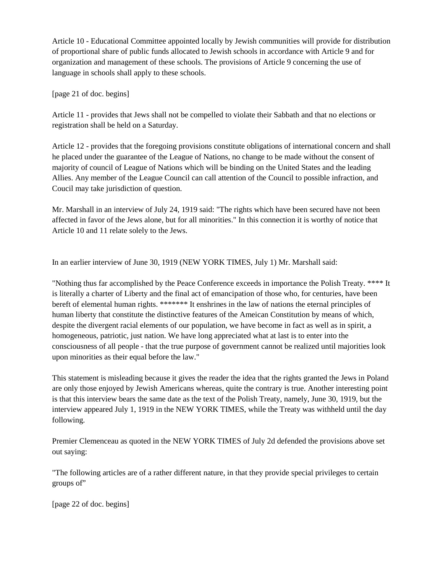Article 10 - Educational Committee appointed locally by Jewish communities will provide for distribution of proportional share of public funds allocated to Jewish schools in accordance with Article 9 and for organization and management of these schools. The provisions of Article 9 concerning the use of language in schools shall apply to these schools.

[page 21 of doc. begins]

Article 11 - provides that Jews shall not be compelled to violate their Sabbath and that no elections or registration shall be held on a Saturday.

Article 12 - provides that the foregoing provisions constitute obligations of international concern and shall he placed under the guarantee of the League of Nations, no change to be made without the consent of majority of council of League of Nations which will be binding on the United States and the leading Allies. Any member of the League Council can call attention of the Council to possible infraction, and Coucil may take jurisdiction of question.

Mr. Marshall in an interview of July 24, 1919 said: "The rights which have been secured have not been affected in favor of the Jews alone, but for all minorities." In this connection it is worthy of notice that Article 10 and 11 relate solely to the Jews.

In an earlier interview of June 30, 1919 (NEW YORK TIMES, July 1) Mr. Marshall said:

"Nothing thus far accomplished by the Peace Conference exceeds in importance the Polish Treaty. \*\*\*\* It is literally a charter of Liberty and the final act of emancipation of those who, for centuries, have been bereft of elemental human rights. \*\*\*\*\*\*\* It enshrines in the law of nations the eternal principles of human liberty that constitute the distinctive features of the Ameican Constitution by means of which, despite the divergent racial elements of our population, we have become in fact as well as in spirit, a homogeneous, patriotic, just nation. We have long appreciated what at last is to enter into the consciousness of all people - that the true purpose of government cannot be realized until majorities look upon minorities as their equal before the law."

This statement is misleading because it gives the reader the idea that the rights granted the Jews in Poland are only those enjoyed by Jewish Americans whereas, quite the contrary is true. Another interesting point is that this interview bears the same date as the text of the Polish Treaty, namely, June 30, 1919, but the interview appeared July 1, 1919 in the NEW YORK TIMES, while the Treaty was withheld until the day following.

Premier Clemenceau as quoted in the NEW YORK TIMES of July 2d defended the provisions above set out saying:

"The following articles are of a rather different nature, in that they provide special privileges to certain groups of"

[page 22 of doc. begins]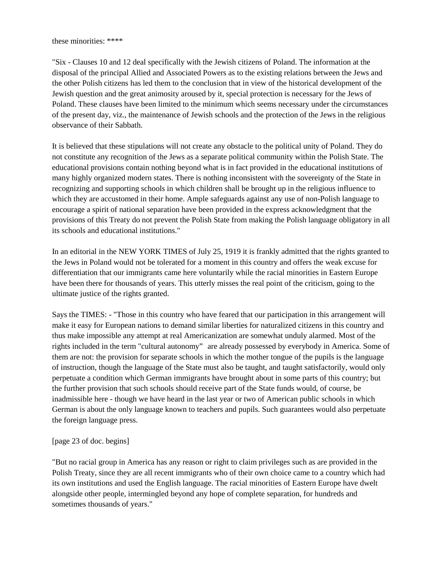these minorities: \*\*\*\*

"Six - Clauses 10 and 12 deal specifically with the Jewish citizens of Poland. The information at the disposal of the principal Allied and Associated Powers as to the existing relations between the Jews and the other Polish citizens has led them to the conclusion that in view of the historical development of the Jewish question and the great animosity aroused by it, special protection is necessary for the Jews of Poland. These clauses have been limited to the minimum which seems necessary under the circumstances of the present day, viz., the maintenance of Jewish schools and the protection of the Jews in the religious observance of their Sabbath.

It is believed that these stipulations will not create any obstacle to the political unity of Poland. They do not constitute any recognition of the Jews as a separate political community within the Polish State. The educational provisions contain nothing beyond what is in fact provided in the educational institutions of many highly organized modern states. There is nothing inconsistent with the sovereignty of the State in recognizing and supporting schools in which children shall be brought up in the religious influence to which they are accustomed in their home. Ample safeguards against any use of non-Polish language to encourage a spirit of national separation have been provided in the express acknowledgment that the provisions of this Treaty do not prevent the Polish State from making the Polish language obligatory in all its schools and educational institutions."

In an editorial in the NEW YORK TIMES of July 25, 1919 it is frankly admitted that the rights granted to the Jews in Poland would not be tolerated for a moment in this country and offers the weak excuse for differentiation that our immigrants came here voluntarily while the racial minorities in Eastern Europe have been there for thousands of years. This utterly misses the real point of the criticism, going to the ultimate justice of the rights granted.

Says the TIMES: - "Those in this country who have feared that our participation in this arrangement will make it easy for European nations to demand similar liberties for naturalized citizens in this country and thus make impossible any attempt at real Americanization are somewhat unduly alarmed. Most of the rights included in the term "cultural autonomy" are already possessed by everybody in America. Some of them are not: the provision for separate schools in which the mother tongue of the pupils is the language of instruction, though the language of the State must also be taught, and taught satisfactorily, would only perpetuate a condition which German immigrants have brought about in some parts of this country; but the further provision that such schools should receive part of the State funds would, of course, be inadmissible here - though we have heard in the last year or two of American public schools in which German is about the only language known to teachers and pupils. Such guarantees would also perpetuate the foreign language press.

#### [page 23 of doc. begins]

"But no racial group in America has any reason or right to claim privileges such as are provided in the Polish Treaty, since they are all recent immigrants who of their own choice came to a country which had its own institutions and used the English language. The racial minorities of Eastern Europe have dwelt alongside other people, intermingled beyond any hope of complete separation, for hundreds and sometimes thousands of years."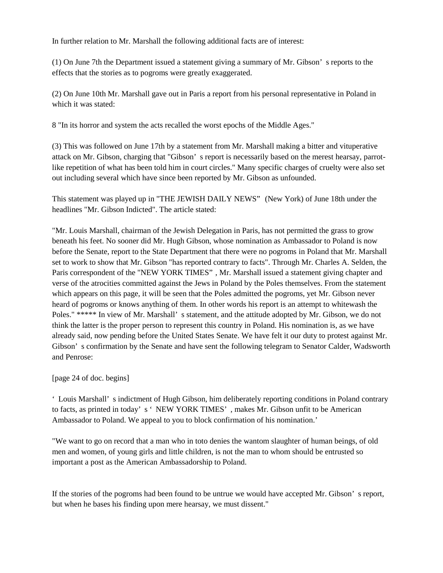In further relation to Mr. Marshall the following additional facts are of interest:

(1) On June 7th the Department issued a statement giving a summary of Mr. Gibson' s reports to the effects that the stories as to pogroms were greatly exaggerated.

(2) On June 10th Mr. Marshall gave out in Paris a report from his personal representative in Poland in which it was stated:

8 "In its horror and system the acts recalled the worst epochs of the Middle Ages."

(3) This was followed on June 17th by a statement from Mr. Marshall making a bitter and vituperative attack on Mr. Gibson, charging that "Gibson' s report is necessarily based on the merest hearsay, parrotlike repetition of what has been told him in court circles." Many specific charges of cruelty were also set out including several which have since been reported by Mr. Gibson as unfounded.

This statement was played up in "THE JEWISH DAILY NEWS" (New York) of June 18th under the headlines "Mr. Gibson Indicted". The article stated:

"Mr. Louis Marshall, chairman of the Jewish Delegation in Paris, has not permitted the grass to grow beneath his feet. No sooner did Mr. Hugh Gibson, whose nomination as Ambassador to Poland is now before the Senate, report to the State Department that there were no pogroms in Poland that Mr. Marshall set to work to show that Mr. Gibson "has reported contrary to facts". Through Mr. Charles A. Selden, the Paris correspondent of the "NEW YORK TIMES" , Mr. Marshall issued a statement giving chapter and verse of the atrocities committed against the Jews in Poland by the Poles themselves. From the statement which appears on this page, it will be seen that the Poles admitted the pogroms, yet Mr. Gibson never heard of pogroms or knows anything of them. In other words his report is an attempt to whitewash the Poles." \*\*\*\*\* In view of Mr. Marshall's statement, and the attitude adopted by Mr. Gibson, we do not think the latter is the proper person to represent this country in Poland. His nomination is, as we have already said, now pending before the United States Senate. We have felt it our duty to protest against Mr. Gibson' s confirmation by the Senate and have sent the following telegram to Senator Calder, Wadsworth and Penrose:

[page 24 of doc. begins]

' Louis Marshall' s indictment of Hugh Gibson, him deliberately reporting conditions in Poland contrary to facts, as printed in today' s ' NEW YORK TIMES' , makes Mr. Gibson unfit to be American Ambassador to Poland. We appeal to you to block confirmation of his nomination.'

"We want to go on record that a man who in toto denies the wantom slaughter of human beings, of old men and women, of young girls and little children, is not the man to whom should be entrusted so important a post as the American Ambassadorship to Poland.

If the stories of the pogroms had been found to be untrue we would have accepted Mr. Gibson' s report, but when he bases his finding upon mere hearsay, we must dissent."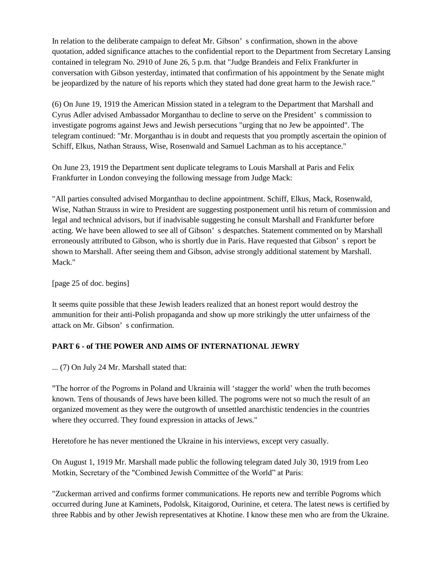In relation to the deliberate campaign to defeat Mr. Gibson' s confirmation, shown in the above quotation, added significance attaches to the confidential report to the Department from Secretary Lansing contained in telegram No. 2910 of June 26, 5 p.m. that "Judge Brandeis and Felix Frankfurter in conversation with Gibson yesterday, intimated that confirmation of his appointment by the Senate might be jeopardized by the nature of his reports which they stated had done great harm to the Jewish race."

(6) On June 19, 1919 the American Mission stated in a telegram to the Department that Marshall and Cyrus Adler advised Ambassador Morganthau to decline to serve on the President' s commission to investigate pogroms against Jews and Jewish persecutions "urging that no Jew be appointed". The telegram continued: "Mr. Morganthau is in doubt and requests that you promptly ascertain the opinion of Schiff, Elkus, Nathan Strauss, Wise, Rosenwald and Samuel Lachman as to his acceptance."

On June 23, 1919 the Department sent duplicate telegrams to Louis Marshall at Paris and Felix Frankfurter in London conveying the following message from Judge Mack:

"All parties consulted advised Morganthau to decline appointment. Schiff, Elkus, Mack, Rosenwald, Wise, Nathan Strauss in wire to President are suggesting postponement until his return of commission and legal and technical advisors, but if inadvisable suggesting he consult Marshall and Frankfurter before acting. We have been allowed to see all of Gibson' s despatches. Statement commented on by Marshall erroneously attributed to Gibson, who is shortly due in Paris. Have requested that Gibson' s report be shown to Marshall. After seeing them and Gibson, advise strongly additional statement by Marshall. Mack."

[page 25 of doc. begins]

It seems quite possible that these Jewish leaders realized that an honest report would destroy the ammunition for their anti-Polish propaganda and show up more strikingly the utter unfairness of the attack on Mr. Gibson' s confirmation.

# **PART 6 - of THE POWER AND AIMS OF INTERNATIONAL JEWRY**

... (7) On July 24 Mr. Marshall stated that:

"The horror of the Pogroms in Poland and Ukrainia will 'stagger the world' when the truth becomes known. Tens of thousands of Jews have been killed. The pogroms were not so much the result of an organized movement as they were the outgrowth of unsettled anarchistic tendencies in the countries where they occurred. They found expression in attacks of Jews."

Heretofore he has never mentioned the Ukraine in his interviews, except very casually.

On August 1, 1919 Mr. Marshall made public the following telegram dated July 30, 1919 from Leo Motkin, Secretary of the "Combined Jewish Committee of the World" at Paris:

"Zuckerman arrived and confirms former communications. He reports new and terrible Pogroms which occurred during June at Kaminets, Podolsk, Kitaigorod, Ourinine, et cetera. The latest news is certified by three Rabbis and by other Jewish representatives at Khotine. I know these men who are from the Ukraine.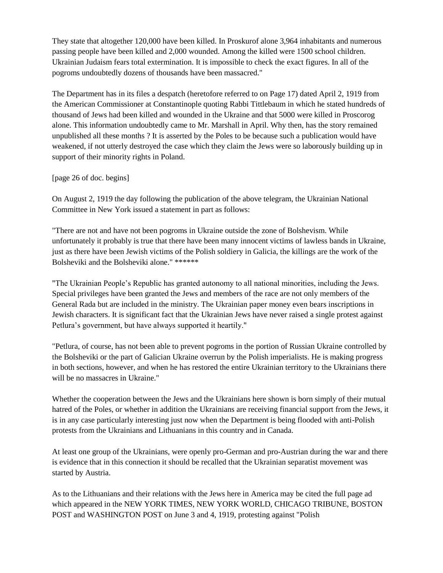They state that altogether 120,000 have been killed. In Proskurof alone 3,964 inhabitants and numerous passing people have been killed and 2,000 wounded. Among the killed were 1500 school children. Ukrainian Judaism fears total extermination. It is impossible to check the exact figures. In all of the pogroms undoubtedly dozens of thousands have been massacred."

The Department has in its files a despatch (heretofore referred to on Page 17) dated April 2, 1919 from the American Commissioner at Constantinople quoting Rabbi Tittlebaum in which he stated hundreds of thousand of Jews had been killed and wounded in the Ukraine and that 5000 were killed in Proscorog alone. This information undoubtedly came to Mr. Marshall in April. Why then, has the story remained unpublished all these months ? It is asserted by the Poles to be because such a publication would have weakened, if not utterly destroyed the case which they claim the Jews were so laborously building up in support of their minority rights in Poland.

#### [page 26 of doc. begins]

On August 2, 1919 the day following the publication of the above telegram, the Ukrainian National Committee in New York issued a statement in part as follows:

"There are not and have not been pogroms in Ukraine outside the zone of Bolshevism. While unfortunately it probably is true that there have been many innocent victims of lawless bands in Ukraine, just as there have been Jewish victims of the Polish soldiery in Galicia, the killings are the work of the Bolsheviki and the Bolsheviki alone." \*\*\*\*\*\*

"The Ukrainian People's Republic has granted autonomy to all national minorities, including the Jews. Special privileges have been granted the Jews and members of the race are not only members of the General Rada but are included in the ministry. The Ukrainian paper money even bears inscriptions in Jewish characters. It is significant fact that the Ukrainian Jews have never raised a single protest against Petlura's government, but have always supported it heartily."

"Petlura, of course, has not been able to prevent pogroms in the portion of Russian Ukraine controlled by the Bolsheviki or the part of Galician Ukraine overrun by the Polish imperialists. He is making progress in both sections, however, and when he has restored the entire Ukrainian territory to the Ukrainians there will be no massacres in Ukraine."

Whether the cooperation between the Jews and the Ukrainians here shown is born simply of their mutual hatred of the Poles, or whether in addition the Ukrainians are receiving financial support from the Jews, it is in any case particularly interesting just now when the Department is being flooded with anti-Polish protests from the Ukrainians and Lithuanians in this country and in Canada.

At least one group of the Ukrainians, were openly pro-German and pro-Austrian during the war and there is evidence that in this connection it should be recalled that the Ukrainian separatist movement was started by Austria.

As to the Lithuanians and their relations with the Jews here in America may be cited the full page ad which appeared in the NEW YORK TIMES, NEW YORK WORLD, CHICAGO TRIBUNE, BOSTON POST and WASHINGTON POST on June 3 and 4, 1919, protesting against "Polish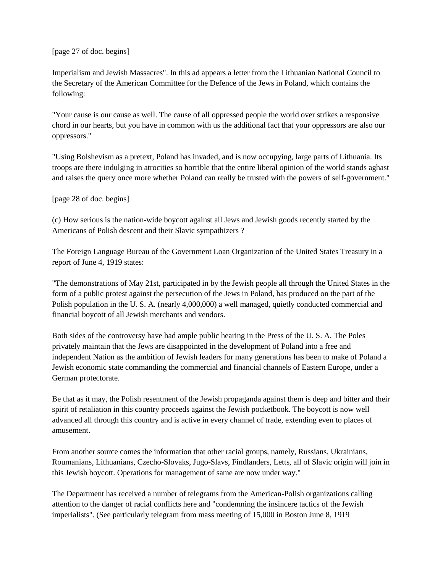[page 27 of doc. begins]

Imperialism and Jewish Massacres". In this ad appears a letter from the Lithuanian National Council to the Secretary of the American Committee for the Defence of the Jews in Poland, which contains the following:

"Your cause is our cause as well. The cause of all oppressed people the world over strikes a responsive chord in our hearts, but you have in common with us the additional fact that your oppressors are also our oppressors."

"Using Bolshevism as a pretext, Poland has invaded, and is now occupying, large parts of Lithuania. Its troops are there indulging in atrocities so horrible that the entire liberal opinion of the world stands aghast and raises the query once more whether Poland can really be trusted with the powers of self-government."

[page 28 of doc. begins]

(c) How serious is the nation-wide boycott against all Jews and Jewish goods recently started by the Americans of Polish descent and their Slavic sympathizers ?

The Foreign Language Bureau of the Government Loan Organization of the United States Treasury in a report of June 4, 1919 states:

"The demonstrations of May 21st, participated in by the Jewish people all through the United States in the form of a public protest against the persecution of the Jews in Poland, has produced on the part of the Polish population in the U. S. A. (nearly 4,000,000) a well managed, quietly conducted commercial and financial boycott of all Jewish merchants and vendors.

Both sides of the controversy have had ample public hearing in the Press of the U. S. A. The Poles privately maintain that the Jews are disappointed in the development of Poland into a free and independent Nation as the ambition of Jewish leaders for many generations has been to make of Poland a Jewish economic state commanding the commercial and financial channels of Eastern Europe, under a German protectorate.

Be that as it may, the Polish resentment of the Jewish propaganda against them is deep and bitter and their spirit of retaliation in this country proceeds against the Jewish pocketbook. The boycott is now well advanced all through this country and is active in every channel of trade, extending even to places of amusement.

From another source comes the information that other racial groups, namely, Russians, Ukrainians, Roumanians, Lithuanians, Czecho-Slovaks, Jugo-Slavs, Findlanders, Letts, all of Slavic origin will join in this Jewish boycott. Operations for management of same are now under way."

The Department has received a number of telegrams from the American-Polish organizations calling attention to the danger of racial conflicts here and "condemning the insincere tactics of the Jewish imperialists". (See particularly telegram from mass meeting of 15,000 in Boston June 8, 1919